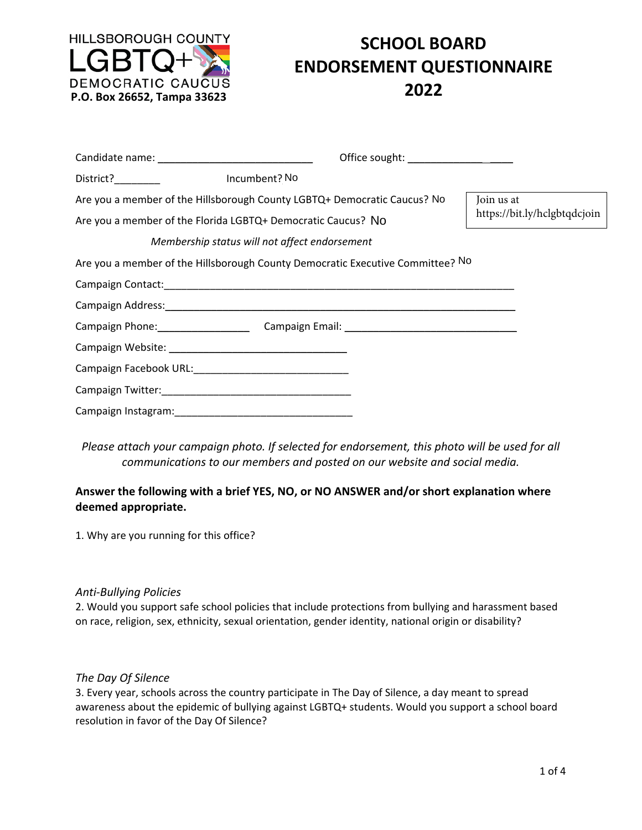

# **SCHOOL BOARD ENDORSEMENT QUESTIONNAIRE**

|                                                                                                                                          | Office sought: ____________________                                            |                                            |
|------------------------------------------------------------------------------------------------------------------------------------------|--------------------------------------------------------------------------------|--------------------------------------------|
| District? District and the second service of the series of the series of the series of the series of the series                          | Incumbent? No                                                                  |                                            |
| Are you a member of the Hillsborough County LGBTQ+ Democratic Caucus? No<br>Are you a member of the Florida LGBTQ+ Democratic Caucus? No |                                                                                | Join us at<br>https://bit.ly/hclgbtqdcjoin |
|                                                                                                                                          | Membership status will not affect endorsement                                  |                                            |
|                                                                                                                                          | Are you a member of the Hillsborough County Democratic Executive Committee? No |                                            |
|                                                                                                                                          |                                                                                |                                            |
|                                                                                                                                          |                                                                                |                                            |
|                                                                                                                                          | Campaign Phone: Campaign Email: Campaign 2004                                  |                                            |
|                                                                                                                                          |                                                                                |                                            |
|                                                                                                                                          |                                                                                |                                            |
|                                                                                                                                          |                                                                                |                                            |
|                                                                                                                                          |                                                                                |                                            |

*Please attach your campaign photo. If selected for endorsement, this photo will be used for all communications to our members and posted on our website and social media.* 

# **Answer the following with a brief YES, NO, or NO ANSWER and/or short explanation where deemed appropriate.**

1. Why are you running for this office?

# *Anti‐Bullying Policies*

2. Would you support safe school policies that include protections from bullying and harassment based on race, religion, sex, ethnicity, sexual orientation, gender identity, national origin or disability?

# *The Day Of Silence*

3. Every year, schools across the country participate in The Day of Silence, a day meant to spread awareness about the epidemic of bullying against LGBTQ+ students. Would you support a school board resolution in favor of the Day Of Silence?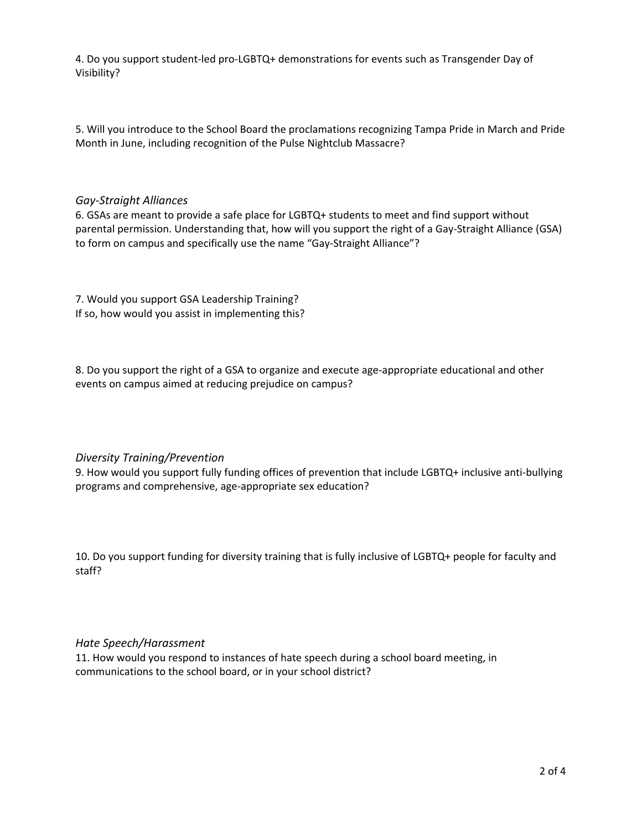4. Do you support student-led pro-LGBTQ+ demonstrations for events such as Transgender Day of Visibility?

5. Will you introduce to the School Board the proclamations recognizing Tampa Pride in March and Pride Month in June, including recognition of the Pulse Nightclub Massacre?

#### *Gay‐Straight Alliances*

6. GSAs are meant to provide a safe place for LGBTQ+ students to meet and find support without parental permission. Understanding that, how will you support the right of a Gay‐Straight Alliance (GSA) to form on campus and specifically use the name "Gay‐Straight Alliance"?

7. Would you support GSA Leadership Training? If so, how would you assist in implementing this?

8. Do you support the right of a GSA to organize and execute age‐appropriate educational and other events on campus aimed at reducing prejudice on campus?

# *Diversity Training/Prevention*

9. How would you support fully funding offices of prevention that include LGBTQ+ inclusive anti‐bullying programs and comprehensive, age‐appropriate sex education?

10. Do you support funding for diversity training that is fully inclusive of LGBTQ+ people for faculty and staff?

# *Hate Speech/Harassment*

11. How would you respond to instances of hate speech during a school board meeting, in communications to the school board, or in your school district?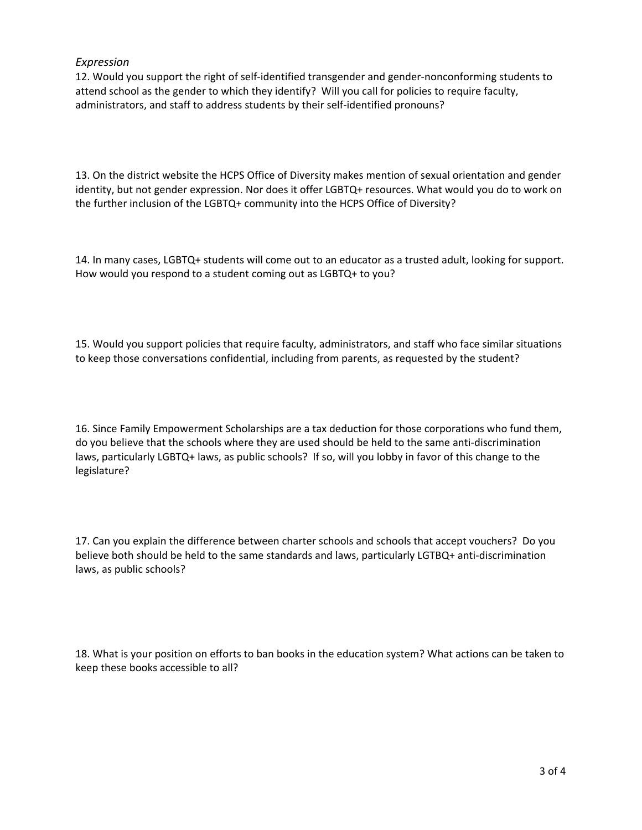# *Expression*

12. Would you support the right of self‐identified transgender and gender‐nonconforming students to attend school as the gender to which they identify? Will you call for policies to require faculty, administrators, and staff to address students by their self-identified pronouns?

13. On the district website the HCPS Office of Diversity makes mention of sexual orientation and gender identity, but not gender expression. Nor does it offer LGBTQ+ resources. What would you do to work on the further inclusion of the LGBTQ+ community into the HCPS Office of Diversity?

14. In many cases, LGBTQ+ students will come out to an educator as a trusted adult, looking for support. How would you respond to a student coming out as LGBTQ+ to you?

15. Would you support policies that require faculty, administrators, and staff who face similar situations to keep those conversations confidential, including from parents, as requested by the student?

16. Since Family Empowerment Scholarships are a tax deduction for those corporations who fund them, do you believe that the schools where they are used should be held to the same anti‐discrimination laws, particularly LGBTQ+ laws, as public schools? If so, will you lobby in favor of this change to the legislature?

17. Can you explain the difference between charter schools and schools that accept vouchers? Do you believe both should be held to the same standards and laws, particularly LGTBQ+ anti-discrimination laws, as public schools?

18. What is your position on efforts to ban books in the education system? What actions can be taken to keep these books accessible to all?